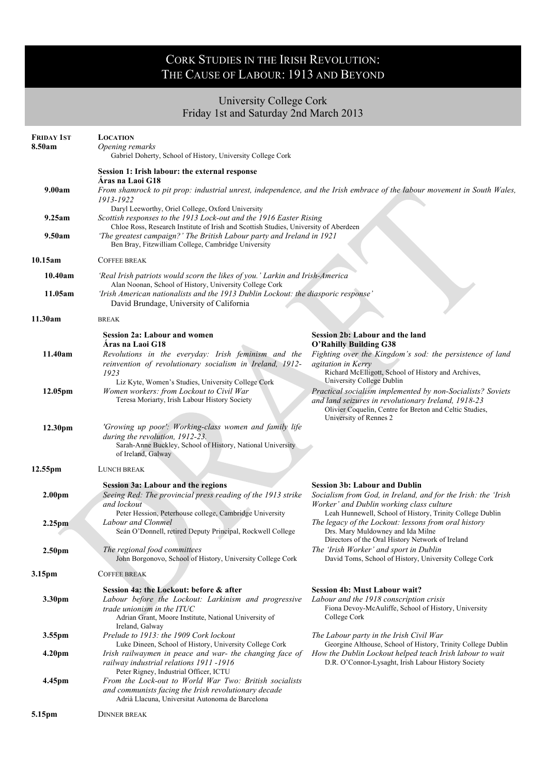## CORK STUDIES IN THE IRISH REVOLUTION: THE CAUSE OF LABOUR: 1913 AND BEYOND

## University College Cork Friday 1st and Saturday 2nd March 2013

| <b>FRIDAY 1ST</b><br>8.50am | <b>LOCATION</b><br>Opening remarks<br>Gabriel Doherty, School of History, University College Cork                                                                                                               |                                                                                                                                                                                                                                     |
|-----------------------------|-----------------------------------------------------------------------------------------------------------------------------------------------------------------------------------------------------------------|-------------------------------------------------------------------------------------------------------------------------------------------------------------------------------------------------------------------------------------|
|                             | Session 1: Irish labour: the external response                                                                                                                                                                  |                                                                                                                                                                                                                                     |
| 9.00am                      | Áras na Laoi G18<br>1913-1922                                                                                                                                                                                   | From shamrock to pit prop: industrial unrest, independence, and the Irish embrace of the labour movement in South Wales,                                                                                                            |
| 9.25am                      | Daryl Leeworthy, Oriel College, Oxford University<br>Scottish responses to the 1913 Lock-out and the 1916 Easter Rising<br>Chloe Ross, Research Institute of Irish and Scottish Studies, University of Aberdeen |                                                                                                                                                                                                                                     |
| 9.50am                      | 'The greatest campaign?' The British Labour party and Ireland in 1921<br>Ben Bray, Fitzwilliam College, Cambridge University                                                                                    |                                                                                                                                                                                                                                     |
| 10.15am                     | <b>COFFEE BREAK</b>                                                                                                                                                                                             |                                                                                                                                                                                                                                     |
| 10.40am                     | 'Real Irish patriots would scorn the likes of you.' Larkin and Irish-America<br>Alan Noonan, School of History, University College Cork                                                                         |                                                                                                                                                                                                                                     |
| 11.05am                     | 'Irish American nationalists and the 1913 Dublin Lockout: the diasporic response'<br>David Brundage, University of California                                                                                   |                                                                                                                                                                                                                                     |
| 11.30am                     | <b>BREAK</b>                                                                                                                                                                                                    |                                                                                                                                                                                                                                     |
| 11.40am                     | <b>Session 2a: Labour and women</b><br>Aras na Laoi G18<br>Revolutions in the everyday: Irish feminism and the<br>reinvention of revolutionary socialism in Ireland, 1912-<br>1923                              | Session 2b: Labour and the land<br><b>O'Rahilly Building G38</b><br>Fighting over the Kingdom's sod: the persistence of land<br><i>agitation in Kerry</i><br>Richard McElligott, School of History and Archives,                    |
| 12.05pm                     | Liz Kyte, Women's Studies, University College Cork<br>Women workers: from Lockout to Civil War<br>Teresa Moriarty, Irish Labour History Society                                                                 | University College Dublin<br>Practical socialism implemented by non-Socialists? Soviets<br>and land seizures in revolutionary Ireland, 1918-23<br>Olivier Coquelin, Centre for Breton and Celtic Studies,<br>University of Rennes 2 |
| 12.30pm                     | 'Growing up poor': Working-class women and family life<br>during the revolution, 1912-23.<br>Sarah-Anne Buckley, School of History, National University<br>of Ireland, Galway                                   |                                                                                                                                                                                                                                     |
| 12.55pm                     | LUNCH BREAK                                                                                                                                                                                                     |                                                                                                                                                                                                                                     |
| 2.00 <sub>pm</sub>          | <b>Session 3a: Labour and the regions</b><br>Seeing Red: The provincial press reading of the 1913 strike<br>and lockout                                                                                         | <b>Session 3b: Labour and Dublin</b><br>Socialism from God, in Ireland, and for the Irish: the 'Irish<br>Worker' and Dublin working class culture                                                                                   |
| 2.25 <sub>pm</sub>          | Peter Hession, Peterhouse college, Cambridge University<br>Labour and Clonmel<br>Seán O'Donnell, retired Deputy Principal, Rockwell College                                                                     | Leah Hunnewell, School of History, Trinity College Dublin<br>The legacy of the Lockout: lessons from oral history<br>Drs. Mary Muldowney and Ida Milne<br>Directors of the Oral History Network of Ireland                          |
| 2.50 <sub>pm</sub>          | The regional food committees<br>John Borgonovo, School of History, University College Cork                                                                                                                      | The 'Irish Worker' and sport in Dublin<br>David Toms, School of History, University College Cork                                                                                                                                    |
| 3.15pm                      | COFFEE BREAK                                                                                                                                                                                                    |                                                                                                                                                                                                                                     |
| 3.30pm                      | Session 4a: the Lockout: before & after<br>Labour before the Lockout: Larkinism and progressive<br>trade unionism in the ITUC<br>Adrian Grant, Moore Institute, National University of                          | <b>Session 4b: Must Labour wait?</b><br>Labour and the 1918 conscription crisis<br>Fiona Devoy-McAuliffe, School of History, University<br>College Cork                                                                             |
| 3.55pm                      | Ireland, Galway<br>Prelude to 1913: the 1909 Cork lockout                                                                                                                                                       | The Labour party in the Irish Civil War                                                                                                                                                                                             |
| 4.20 <sub>pm</sub>          | Luke Dineen, School of History, University College Cork<br>Irish railwaymen in peace and war- the changing face of<br>railway industrial relations 1911 -1916<br>Peter Rigney, Industrial Officer, ICTU         | Georgine Althouse, School of History, Trinity College Dublin<br>How the Dublin Lockout helped teach Irish labour to wait<br>D.R. O'Connor-Lysaght, Irish Labour History Society                                                     |
| 4.45pm                      | From the Lock-out to World War Two: British socialists<br>and communists facing the Irish revolutionary decade<br>Adrià Llacuna, Universitat Autonoma de Barcelona                                              |                                                                                                                                                                                                                                     |
| 5.15pm                      | <b>DINNER BREAK</b>                                                                                                                                                                                             |                                                                                                                                                                                                                                     |